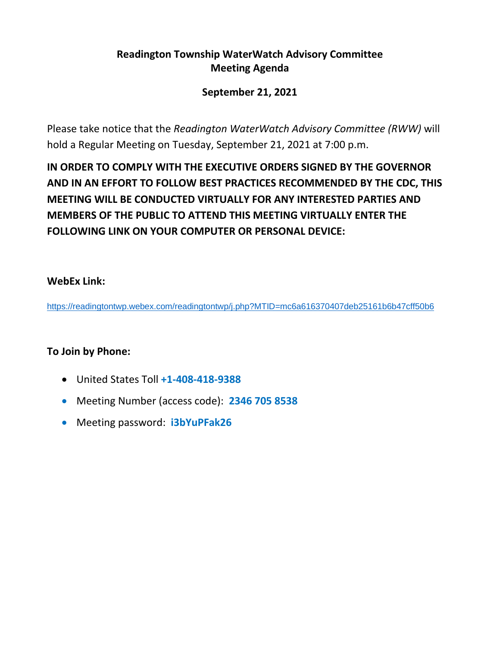# **Readington Township WaterWatch Advisory Committee Meeting Agenda**

# **September 21, 2021**

Please take notice that the *Readington WaterWatch Advisory Committee (RWW)* will hold a Regular Meeting on Tuesday, September 21, 2021 at 7:00 p.m.

**IN ORDER TO COMPLY WITH THE EXECUTIVE ORDERS SIGNED BY THE GOVERNOR AND IN AN EFFORT TO FOLLOW BEST PRACTICES RECOMMENDED BY THE CDC, THIS MEETING WILL BE CONDUCTED VIRTUALLY FOR ANY INTERESTED PARTIES AND MEMBERS OF THE PUBLIC TO ATTEND THIS MEETING VIRTUALLY ENTER THE FOLLOWING LINK ON YOUR COMPUTER OR PERSONAL DEVICE:**

## **WebEx Link:**

<https://readingtontwp.webex.com/readingtontwp/j.php?MTID=mc6a616370407deb25161b6b47cff50b6>

# **To Join by Phone:**

- United States Toll **+1-408-418-9388**
- Meeting Number (access code): **2346 705 8538**
- Meeting password: **i3bYuPFak26**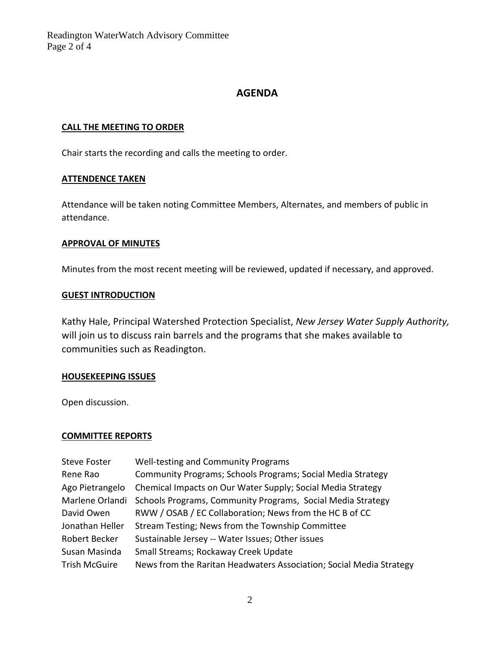Readington WaterWatch Advisory Committee Page 2 of 4

## **AGENDA**

### **CALL THE MEETING TO ORDER**

Chair starts the recording and calls the meeting to order.

#### **ATTENDENCE TAKEN**

Attendance will be taken noting Committee Members, Alternates, and members of public in attendance.

#### **APPROVAL OF MINUTES**

Minutes from the most recent meeting will be reviewed, updated if necessary, and approved.

#### **GUEST INTRODUCTION**

Kathy Hale, Principal Watershed Protection Specialist, *New Jersey Water Supply Authority,*  will join us to discuss rain barrels and the programs that she makes available to communities such as Readington.

#### **HOUSEKEEPING ISSUES**

Open discussion.

### **COMMITTEE REPORTS**

| <b>Steve Foster</b>  | Well-testing and Community Programs                                 |
|----------------------|---------------------------------------------------------------------|
| Rene Rao             | Community Programs; Schools Programs; Social Media Strategy         |
| Ago Pietrangelo      | Chemical Impacts on Our Water Supply; Social Media Strategy         |
| Marlene Orlandi      | Schools Programs, Community Programs, Social Media Strategy         |
| David Owen           | RWW / OSAB / EC Collaboration; News from the HC B of CC             |
| Jonathan Heller      | Stream Testing; News from the Township Committee                    |
| Robert Becker        | Sustainable Jersey -- Water Issues; Other issues                    |
| Susan Masinda        | Small Streams; Rockaway Creek Update                                |
| <b>Trish McGuire</b> | News from the Raritan Headwaters Association; Social Media Strategy |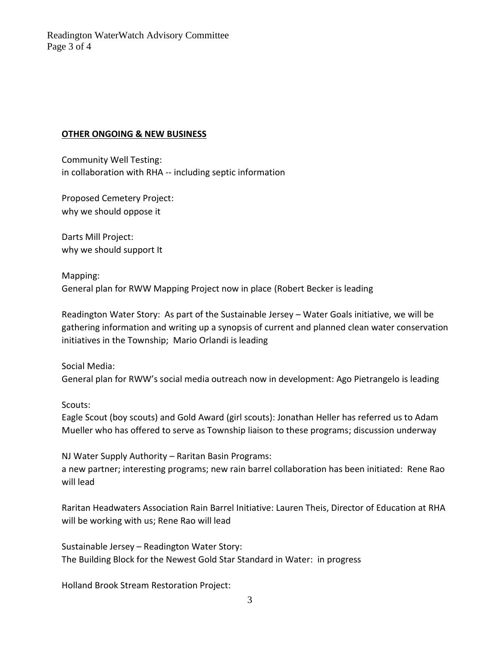## **OTHER ONGOING & NEW BUSINESS**

Community Well Testing: in collaboration with RHA -- including septic information

Proposed Cemetery Project: why we should oppose it

Darts Mill Project: why we should support It

Mapping: General plan for RWW Mapping Project now in place (Robert Becker is leading

Readington Water Story: As part of the Sustainable Jersey – Water Goals initiative, we will be gathering information and writing up a synopsis of current and planned clean water conservation initiatives in the Township; Mario Orlandi is leading

Social Media: General plan for RWW's social media outreach now in development: Ago Pietrangelo is leading

Scouts:

Eagle Scout (boy scouts) and Gold Award (girl scouts): Jonathan Heller has referred us to Adam Mueller who has offered to serve as Township liaison to these programs; discussion underway

NJ Water Supply Authority – Raritan Basin Programs: a new partner; interesting programs; new rain barrel collaboration has been initiated: Rene Rao will lead

Raritan Headwaters Association Rain Barrel Initiative: Lauren Theis, Director of Education at RHA will be working with us; Rene Rao will lead

Sustainable Jersey – Readington Water Story: The Building Block for the Newest Gold Star Standard in Water: in progress

Holland Brook Stream Restoration Project: